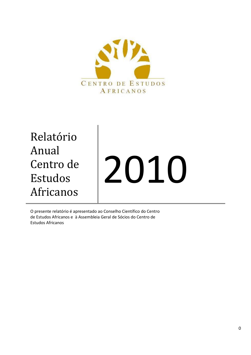

Relatório Anual Centro de Estudos Africanos

# 2010

O presente relatório é apresentado ao Conselho Científico do Centro de Estudos Africanos e à Assembleia Geral de Sócios do Centro de Estudos Africanos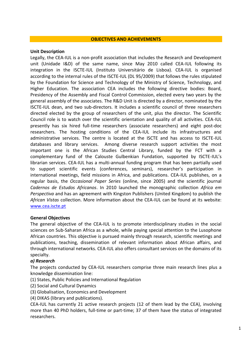### **OBJECTIVES AND ACHIEVEMENTS**

### **Unit Description**

Legally, the CEA-IUL is a non-profit association that includes the Research and Development unit (Unidade I&D) of the same name, since May 2010 called CEA-IUL following its integration in the ISCTE-IUL (Instituto Universitário de Lisboa). CEA-IUL is organised according to the internal rules of the ISCTE-IUL (DL 95/2009) that follows the rules stipulated by the Foundation for Science and Technology of the Ministry of Science, Technology, and Higher Education. The association CEA includes the following directive bodies: Board, Presidency of the Assembly and Fiscal Control Commission, elected every two years by the general assembly of the associates. The R&D Unit is directed by a director, nominated by the ISCTE-IUL dean, and two sub-directors. It includes a scientific council of three researchers directed elected by the group of researchers of the unit, plus the director. The Scientific Council role is to watch over the scientific orientation and quality of all activities. CEA-IUL presently has six hired full-time researchers (associate researchers) and eight post-doc researchers. The hosting conditions of the CEA-IUL include its infrastructures and administrative services. The centre is located at the ISCTE and has access to ISCTE-IUL databases and library services. Among diverse research support activities the most important one is the African Studies Central Library, funded by the FCT with a complementary fund of the Calouste Gulbenkian Fundation, supported by ISCTE-IUL's librarian services. CEA-IUL has a multi-annual funding program that has been partially used to support scientific events (conferences, seminars), researcher's participation in international meetings, field missions in Africa, and publications. CEA-IUL publishes, on a regular basis, the *Occasional Paper Series* (online, since 2005) and the scientific journal *Cadernos de Estudos Africanos*. In 2010 launched the monographic collection *Africa em Perspectiva* and has an agreement with Kingston Publishers (United Kingdom) to publish the *African Vistas* collection. More information about the CEA-IUL can be found at its website: [www.cea.iscte.pt](http://www.cea.iscte.pt/)

# **General Objectives**

The general objective of the CEA-IUL is to promote interdisciplinary studies in the social sciences on Sub-Saharan Africa as a whole, while paying special attention to the Lusophone African countries. This objective is pursued mainly through research, scientific meetings and publications, teaching, dissemination of relevant information about African affairs, and through international networks. CEA-IUL also offers consultant services on the domains of its specialty.

# *a) Research*

The projects conducted by CEA-IUL researchers comprise three main research lines plus a knowledge dissemination line:

- (1) States, Public Policies and International Regulation
- (2) Social and Cultural Dynamics
- (3) Globalisation, Economics and Development
- (4) DIKAS (library and publications).

CEA-IUL has currently 21 active research projects (12 of them lead by the CEA), involving more than 40 PhD holders, full-time or part-time; 37 of them have the status of integrated researchers.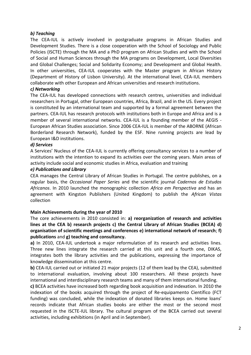# *b) Teaching*

The CEA-IUL is actively involved in postgraduate programs in African Studies and Development Studies. There is a close cooperation with the School of Sociology and Public Policies (ISCTE) through the MA and a PhD program on African Studies and with the School of Social and Human Sciences through the MA programs on Development, Local Diversities and Global Challenges; Social and Solidarity Economy; and Development and Global Health. In other universities, CEA-IUL cooperates with the Master program in African History (Department of History of Lisbon University). At the international level, CEA-IUL members collaborate with other European and African universities and research institutions.

# *c) Networking*

The CEA-IUL has developed connections with research centres, universities and individual researchers in Portugal, other European countries, Africa, Brazil, and in the US. Every project is constituted by an international team and supported by a formal agreement between the partners. CEA-IUL has research protocols with institutions both in Europe and Africa and is a member of several international networks. CEA-IUL is a founding member of the AEGIS - European African Studies association. Since 2006 CEA-IUL is member of the ABORNE (African Borderland Research Network), funded by the ESF. Nine running projects are lead by European I&D institutions.

# *d) Services*

A Services' Nucleus of the CEA-IUL is currently offering consultancy services to a number of institutions with the intention to expand its activities over the coming years. Main areas of activity include social and economic studies in Africa, evaluation and training

# *e) Publications and Library*

CEA manages the Central Library of African Studies in Portugal. The centre publishes, on a regular basis, the *Occasional Paper Series* and the scientific journal *Cadernos de Estudos Africanos*. In 2010 launched the monographic collection *Africa em Perspectiva* and has an agreement with Kingston Publishers (United Kingdom) to publish the *African Vistas* collection

# **Main Achievements during the year of 2010**

The core achievements in 2010 consisted in: **a) reorganization of research and activities lines at the CEA b) research projects c) the Central Library of African Studies (BCEA) d) organisation of scientific meetings and conferences e) international network of research**; **f) publications** and **g) teaching and consultancy.**

**a)** In 2010, CEA-IUL undertook a major reformulation of its research and activities lines. Three new lines integrate the research carried at this unit and a fourth one, DIKAS, integrates both the library activities and the publications, expressing the importance of knowledge dissemination at this centre.

**b)** CEA-IUL carried out or initiated 21 major projects (12 of them lead by the CEA), submitted to international evaluation, involving about 100 researchers. All these projects have international and interdisciplinary research teams and many of them international funding.

**c)** BCEA activities have increased both regarding book acquisition and indexation. In 2010 the indexation of the books acquired through the project of Re-equipamento Científico (FCT funding) was concluded, while the indexation of donated libraries keeps on. Home loans' records indicate that African studies books are either the most or the second most requested in the ISCTE-IUL library. The cultural program of the BCEA carried out several activities, including exhibitions (in April and in September).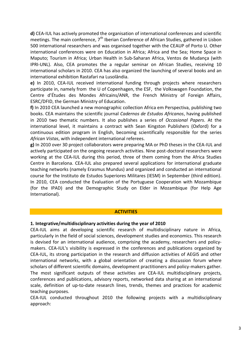**d)** CEA-IUL has actively promoted the organisation of international conferences and scientific meetings. The main conference, 7<sup>th</sup> Iberian Conference of African Studies, gathered in Lisbon 500 international researchers and was organised together with the CEAUP of Porto U. Other international conferences were on Education in Africa; Africa and the Sea; Home Space in Maputo; Tourism in Africa; Urban Health in Sub-Saharan Africa, Ventos de Mudança (with IPRI-UNL). Also, CEA promotes the a regular seminar on African Studies, receiving 10 international scholars in 2010. CEA has also organized the launching of several books and an international exhibition Rastafari na Lusolândia.

**e)** In 2010, CEA-IUL received international funding through projects where researchers participate in, namely from the U of Copenhagen, the ESF, the Volkswagen Foundation, the Centre d'Études des Mondes Africains/ANR, the French Ministry of Foreign Affairs, ESRC/DFID, the German Ministry of Education.

**f)** In 2010 CEA launched a new monographic collection Africa em Perspectiva, publishing two books. CEA maintains the scientific journal *Cadernos de Estudos Africanos*, having published in 2010 two thematic numbers. It also publishes a series of *Occasional Papers*. At the international level, it maintains a contract with Sean Kingston Publishers (Oxford) for a continuous edition program in English, becoming scientifically responsible for the series *African Vistas*, with independent international referees.

**g)** In 2010 over 30 project collaborators were preparing MA or PhD theses in the CEA-IUL and actively participated on the ongoing research activities. Nine post-doctoral researchers were working at the CEA-IUL during this period, three of them coming from the Africa Studies Centre in Barcelona. CEA-IUL also prepared several applications for international graduate teaching networks (namely Erasmus Mundus) and organized and conducted an international course for the Instituto de Estudos Superiores Militares (IESM) in September (third edition). In 2010, CEA conducted the Evaluation of the Portuguese Cooperation with Mozambique (for the IPAD) and the Demographic Study on Elder in Mozambique (for Help Age International).

# **ACTIVITIES**

# **1. Integrative/multidisciplinary activities during the year of 2010**

CEA-IUL aims at developing scientific research of multidisciplinary nature in Africa, particularly in the field of social sciences, development studies and economics. This research is devised for an international audience, comprising the academy, researchers and policymakers. CEA-IUL's visibility is expressed in the conferences and publications organized by CEA-IUL, its strong participation in the research and diffusion activities of AEGIS and other international networks, with a global orientation of creating a discussion forum where scholars of different scientific domains, development practitioners and policy-makers gather. The most significant outputs of these activities are CEA-IUL multidisciplinary projects, conferences and publications, advisory reports, networked data sharing at an international scale, definition of up-to-date research lines, trends, themes and practices for academic teaching purposes.

CEA-IUL conducted throughout 2010 the following projects with a multidisciplinary approach: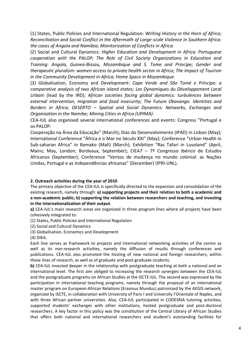(1) States, Public Policies and International Regulation: *Writing History in the Horn of Africa*; *Reconciliation and Social Conflict in the Aftermath of Large-scale Violence in Southern Africa: the cases of Angola and Namibia*; *Monitorization of Conflicts in Africa.* 

(2) Social and Cultural Dynamics: *Higher Education and Development in Africa: Portuguese cooperation with the PALOP; The Role of Civil Society Organizations in Education and Training: Angola, Guinea-Bissau, Mozambique and S. Tome and Principe; Gender and therapeutic pluralism: women access to private health sector in Africa; The Impact of Tourism in the Community Development in Africa; Home Space in Mozambique.*

(3) Globalisation, Economy and Development: *Cape Verde and São Tomé e Príncipe: a comparative analysis of two African island states; Les Dynamiques du Développement Local Urbain* (lead by the IRD); *African societies facing global dynamics: turbulences between external intervention, migration and food insecurity; The Future Okavango. Identities and Borders in Africa; DESERTO – Spatial and Social Dynamics: Networks, Exchanges and Organisation in the Namibe; Mining Cities in Africa (UPIMA)*.

CEA-IUL also organised several international conferences and events: Congress "Portugal e os PALOP:

Cooperação na Área da Educação" (March); Dias do Desenvolvimento (IPAD) in Lisbon (May); International Conference "África e o Mar no Século XXI" (May); Conference "Urban Health in Sub-saharan Africa" in Bamako (Mali) (March); Exhibition "Ras Tafari in Lusoland" (April, Mains; May, London; Bordeaux, September); CIEA7 - 7º Congresso Ibérico de Estudos Africanos (September); Conference "Ventos de mudança no mundo colonial: as Nações Unidas, Portugal e as independências africanas" (December) (IPRI-UNL).

# **2. Outreach activities during the year of 2010**

The primary objective of the CEA-IUL is specifically directed to the expansion and consolidation of the existing research, namely through: **a) supporting projects and their relation to both a academic and a non-academic public; b) supporting the relation between researchers and teaching, and investing in the internationalization of their output**.

**a)** CEA-IUL's main research areas are organized in three program lines where all projects have been cohesively integrated to:

(1) States, Public Policies and International Regulation

(2) Social and Cultural Dynamics

(3) Globalisation, Economics and Development

(4) DIKA.

Each line serves as framework to projects and international networking activities of the centre as well as its non-research activities, namely the diffusion of results through conferences and publications. CEA-IUL also promoted the hosting of new national and foreign researchers, within these lines of research, as well as of graduate and post-graduate students.

**b)** CEA-IUL invested deeper in the relationship with postgraduate teaching at both a national and an international level. The first aim obliged to increasing the research synergies between the CEA-IUL and the postgraduate programs on African Studies at the ISCTE-IUL. The second was expressed by the participation in international teaching programs, namely through the proposal of an international master program on European-African Relations (Erasmus Mundus) patronized by the AEGIS network, organized by ISCTE, in collaboration with University of Paris I and University l'Orientale of Naples, and with three African partner universities. Also, CEA-IUL participated in CODESRIA tutoring activities, supported students' exchanges with other institutions, hosted postgraduate and post-doctoral researchers. A key factor in this policy was the constitution of the Central Library of African Studies that offers both national and international researchers and student's outstanding facilities for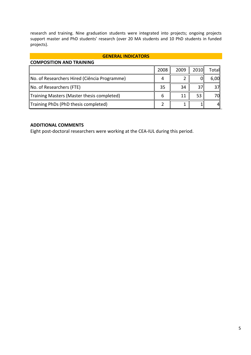research and training. Nine graduation students were integrated into projects; ongoing projects support master and PhD students' research (over 20 MA students and 10 PhD students in funded projects).

### **GENERAL INDICATORS**

| <b>COMPOSITION AND TRAINING</b>              |      |      |      |       |
|----------------------------------------------|------|------|------|-------|
|                                              | 2008 | 2009 | 2010 | Total |
| No. of Researchers Hired (Ciência Programme) |      |      |      | 6,00  |
| No. of Researchers (FTE)                     | 35   | 34   | 37   | 37    |
| Training Masters (Master thesis completed)   | 6    | 11   | 53   | 70    |
| Training PhDs (PhD thesis completed)         |      |      |      | 41    |

# **ADDITIONAL COMMENTS**

Eight post-doctoral researchers were working at the CEA-IUL during this period.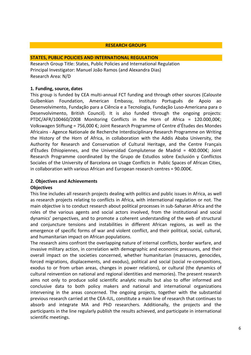### **RESEARCH GROUPS**

### **STATES, PUBLIC POLICIES AND INTERNATIONAL REGULATION**

Research Group Title: States, Public Policies and International Regulation Principal Investigator: Manuel João Ramos (and Alexandra Dias) Research Area: N/D

# **1. Funding, source, dates**

This group is funded by CEA multi-annual FCT funding and through other sources (Calouste Gulbenkian Foundation, American Embassy, Instituto Português de Apoio ao Desenvolvimento, Fundação para a Ciência e a Tecnologia, Fundação Luso-Americana para o Desenvolvimento, British Council). It is also funded through the ongoing projects: PTDC/AFR/100460/2008 Monitoring Conflicts in the Horn of Africa =  $120.000,00 \epsilon$ ; Volkswagen Stiftung = 756,000 €; Joint Research Programme of Centre d'Études des Mondes Africains - Agence Nationale de Recherche Interdisciplinary Research Programme on Writing the History of the Horn of Africa, in collaboration with the Addis Ababa University, the Authority for Research and Conservation of Cultural Heritage, and the Centre Français d'Études Éthiopiennes, and the Universidad Complutense de Madrid = 400.000€; Joint Research Programme coordinated by the Grupo de Estudios sobre Exclusión y Conflictos Sociales of the University of Barcelona on Usage Conflicts in Public Spaces of African Cities, in collaboration with various African and European research centres =  $90.000\epsilon$ .

# **2. Objectives and Achievements**

# **Objectives**

This line includes all research projects dealing with politics and public issues in Africa, as well as research projects relating to conflicts in Africa, with international regulation or not. The main objective is to conduct research about political processes in sub-Saharan Africa and the roles of the various agents and social actors involved, from the institutional and social dynamics' perspectives, and to promote a coherent understanding of the web of structural and conjuncture tensions and instabilities in different African regions, as well as the emergence of specific forms of war and violent conflict, and their political, social, cultural, and humanitarian impact on African populations.

The research aims confront the overlapping nature of internal conflicts, border warfare, and invasive military action, in correlation with demographic and economic pressures, and their overall impact on the societies concerned, whether humanitarian (massacres, genocides, forced migrations, displacements, and exodus), political and social (social re-compositions, exodus to or from urban areas, changes in power relations), or cultural (the dynamics of cultural reinvention on national and regional identities and memories). The present research aims not only to produce solid scientific analytic results but also to offer informed and conclusive data to both policy makers and national and international organizations intervening in the areas concerned. The ongoing projects, together with the substantial previous research carried at the CEA-IUL, constitute a main line of research that continues to absorb and integrate MA and PhD researchers. Additionally, the projects and the participants in the line regularly publish the results achieved, and participate in international scientific meetings.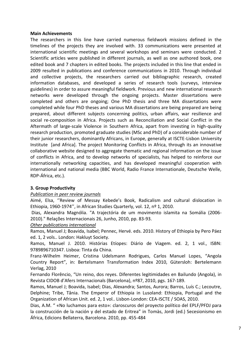# **Main Achievements**

The researchers in this line have carried numerous fieldwork missions defined in the timelines of the projects they are involved with. 33 communications were presented at international scientific meetings and several workshops and seminars were conducted. 2 Scientific articles were published in different journals, as well as one authored book, one edited book and 7 chapters in edited books. The projects included in this line that ended in 2009 resulted in publications and conference communications in 2010. Through individual and collective projects, the researchers carried out bibliographic research, created information databases, and developed a series of research tools (surveys, interview guidelines) in order to assure meaningful fieldwork. Previous and new international research networks were developed through the ongoing projects. Master dissertations were completed and others are ongoing; One PhD thesis and three MA dissertations were completed while four PhD theses and various MA dissertations are being prepared are being prepared, about different subjects concerning politics, urban affairs, war resilience and social re-composition in Africa. Projects such as Reconciliation and Social Conflict in the Aftermath of large-scale Violence in Southern Africa, apart from investing in high-quality research production, promoted graduate studies (MSc and PhD) of a considerable number of their junior researchers, dominantly Africans, in Europe, generally at ISCTE-Lisbon University Institute [and Africa]. The project Monitoring Conflicts in Africa, through its an innovative collaborative website designed to aggregate thematic and regional information on the issue of conflicts in Africa, and to develop networks of specialists, has helped to reinforce our internationally networking capacities, and has developed meaningful cooperation with international and national media (BBC World, Radio France Internationale, Deutsche Welle, RDP-África, etc.).

# **3. Group Productivity**

# *Publication in peer review journals*

Aimé, Elsa, ''Review of Messay Kebede's Book, Radicalism and cultural dislocation in Ethiopia, 1960-1974'', in African Studies Quarterly, vol. 12, nº 1, 2010.

Dias, Alexandra Magnólia. "A trajectória de um movimento islamita na Somália (2006- 2010)." Relações Internacionais 26, Junho, 2010, pp. 83-93.

*Other publications international*

Ramos, Manuel J; Boavida, Isabel; Pennec, Hervé. eds. 2010. History of Ethiopia by Pero Páez ed. 1, 2 vols.. London: Hakluyt Society.

Ramos, Manuel J. 2010. Histórias Etíopes: Diário de Viagem. ed. 2, 1 vol., ISBN: 9789896710347. Lisboa: Tinta da China.

Franz-Wilhelm Heimer, Cristina Udelsmann Rodrigues, Carlos Manuel Lopes, "Angola Country Report", in: Bertelsmann Transformation Index 2010, Gütersloh: Bertelemann Verlag, 2010

Fernando Florêncio, "Un reino, dos reyes. Diferentes legitimidades en Bailundo (Angola), in Revista CIDOB d'Afers Internacionals (Barcelona), nº87, 2010, pgs. 167-189.

Ramos, Manuel J; Boavida, Isabel; Dias, Alexandra; Santos, Aurora; Barros, Luís C.; Lecoutre, Delphine; Tribe, Tânia. The Emperor of Ethiopia in Lusoland: Ethiopia, Portugal and the Organization of African Unit. ed. 2, 1 vol.. Lisbon-London: CEA-ISCTE / SOAS, 2010.

Dias, A.M. " «No luchamos para esto»: claroscuros del proyecto político del EPLF/PFDJ para la construcción de la nación y del estado de Eritrea" in Tomàs, Jordi (ed.) Secesionismo en África, Edicions Bellaterra, Barcelona. 2010, pp. 455-484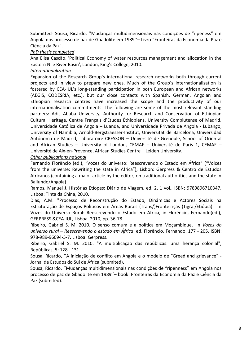Submitted- Sousa, Ricardo, ''Mudanças multidimensionais nas condições de "ripeness" em Angola nos processo de paz de Gbadolite em 1989''– Livro "Fronteiras da Economia da Paz e Ciência da Paz".

# *PhD thesis completed*

Ana Elisa Cascão, 'Political Economy of water resources management and allocation in the Eastern Nile River Basin', London, King's College, 2010.

# *Internationalization*

Expansion of the Research Group's international research networks both through current projects and in view to prepare new ones. Much of the Group's internationalisation is fostered by CEA-IUL's long-standing participation in both European and African networks (AEGIS, CODESRIA, etc.), but our close contacts with Spanish, German, Angolan and Ethiopian research centres have increased the scope and the productivity of our internationalisation commitments. The following are some of the most relevant standing partners: Adis Ababa University, Authority for Research and Conservation of Ethiopian Cultural Heritage, Centre Français d'Études Éthiopiens, University Complutense of Madrid, Universidade Católica de Angola – Luanda, and Universidade Privada de Angola - Lubango, University of Namibia, Arnold-Bergstraesser-Institut, Universitat de Barcelona, Universidad Autónoma de Madrid, Laboratoire CRESSON – Université de Grenoble, School of Oriental and African Studies – University of London, CEMAF – Université de Paris 1, CEMAF – Université de Aix-en-Provence, African Studies Centre – Leiden University.

# *Other publications national*

Fernando Florêncio (ed.), "Vozes do universo: Reescrevendo o Estado em África" ("Voices from the universe: Rewriting the state in Africa"), Lisbon: Gerpress & Centro de Estudos Africanos (containing a major article by the editor, on traditional authorities and the state in Bailundo/Angola)

Ramos, Manuel J. Histórias Etíopes: Diário de Viagem. ed. 2, 1 vol., ISBN: 9789896710347. Lisboa: Tinta da China, 2010.

Dias, A.M. "Processo de Reconstrução do Estado, Dinâmicas e Actores Sociais na Estruturação de Espaços Políticos em Áreas Rurais (Trans/)Fronteiriças (Tigrai/Etiópia)." In Vozes do Universo Rural: Reescrevendo o Estado em Africa, in Florêncio, Fernando(ed.), GERPRESS &CEA-IUL, Lisboa. 2010, pp. 36-78.

Ribeiro, Gabriel S. M. 2010. O senso comum e a política em Moçambique. In *Vozes do universo rural – Reescrevendo o estado em África*, ed. Florêncio, Fernando, 177 - 205. ISBN: 978-989-96094-5-7. Lisboa: Gerpress.

Ribeiro, Gabriel S. M. 2010. "A multiplicação das repúblicas: uma herança colonial", Repúblicas, 5: 128 - 131.

Sousa, Ricardo, ''A iniciação de conflito em Angola e o modelo de "Greed and grievance" - Jornal de Estudos do Sul de África (submited).

Sousa, Ricardo, ''Mudanças multidimensionais nas condições de "ripenness" em Angola nos processo de paz de Gbadolite em 1989''– book: Fronteiras da Economia da Paz e Ciência da Paz (submited).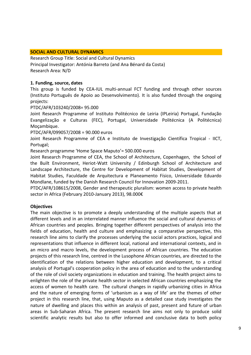### **SOCIAL AND CULTURAL DYNAMICS**

Research Group Title: Social and Cultural Dynamics Principal Investigator: Antónia Barreto (and Ana Bénard da Costa) Research Area: N/D

### **1. Funding, source, dates**

This group is funded by CEA-IUL multi-annual FCT funding and through other sources (Instituto Português de Apoio ao Desenvolvimento). It is also funded through the ongoing projects:

### PTDC/AFR/103240/2008= 95.000

Joint Research Programme of Instituto Politécnico de Leiria (IPLeiria) Portugal, Fundação Evangelização e Culturas (FEC), Portugal, Universidade Politécnica (A Politécnica) Moçambique.

PTDC/AFR/099057/2008 = 90.000 euros

Joint Research Programme of CEA e Instituto de Investigação Científica Tropical - IICT, Portugal;

Research programme 'Home Space Maputo'= 500.000 euros

Joint Research Programme of CEA, the School of Architecture, Copenhagen, the School of the Built Environment, Heriot-Watt University / Edinburgh School of Architecture and Landscape Architecture, the Centre for Development of Habitat Studies, Development of Habitat Studies, Faculdade de Arquitectura e Planeamento Físico, Universidade Eduardo Mondlane, funded by the Danish Research Council for Innovation 2009-2011.

PTDC/AFR/108615/2008, Gender and therapeutic pluralism: women access to private health sector in Africa (February 2010-January 2013), 98.000€

# **Objectives**

The main objective is to promote a deeply understanding of the multiple aspects that at different levels and in an interrelated manner influence the social and cultural dynamics of African countries and peoples. Bringing together different perspectives of analysis into the fields of education, health and culture and emphasizing a comparative perspective, this research line aims to clarify the processes underlying the social actors practices, logical and representations that influence in different local, national and international contexts, and in an micro and macro levels, the development process of African countries. The education projects of this research line, centred in the Lusophone African countries, are directed to the identification of the relations between higher education and development, to a critical analysis of Portugal's cooperation policy in the area of education and to the understanding of the role of civil society organizations in education and training. The health project aims to enlighten the role of the private health sector in selected African countries emphasizing the access of women to health care. The cultural changes in rapidly urbanizing cities in Africa and the nature of emerging forms of 'urbanism as a way of life' are the themes of other project in this research line, that, using Maputo as a detailed case study investigates the nature of dwelling and places this within an analysis of past, present and future of urban areas in Sub-Saharan Africa. The present research line aims not only to produce solid scientific analytic results but also to offer informed and conclusive data to both policy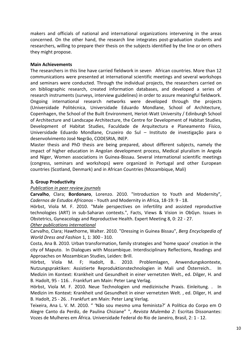makers and officials of national and international organizations intervening in the areas concerned. On the other hand, the research line integrates post-graduation students and researchers, willing to prepare their thesis on the subjects identified by the line or on others they might propose.

# **Main Achievements**

The researchers in this line have carried fieldwork in seven African countries. More than 12 communications were presented at international scientific meetings and several workshops and seminars were conducted. Through the individual projects, the researchers carried on on bibliographic research, created information databases, and developed a series of research instruments (surveys, interview guidelines) in order to assure meaningful fieldwork. Ongoing international research networks were developed through the projects (Universidade Politécnica, Universidade Eduardo Mondlane, School of Architecture, Copenhagen, the School of the Built Environment, Heriot-Watt University / Edinburgh School of Architecture and Landscape Architecture, the Centre for Development of Habitat Studies, Development of Habitat Studies, Faculdade de Arquitectura e Planeamento Físico, Universidade Eduardo Mondlane, Cruzeiro do Sul – Instituto de investigação para o desenvolvimento José Negrão, CODESRIA, INEP.

Master thesis and PhD thesis are being prepared, about different subjects, namely the impact of higher education in Angolan development process, Medical pluralism in Angola and Niger, Women associations in Guinea-Bissau. Several international scientific meetings (congress, seminars and workshops) were organized in Portugal and other European countries (Scotland, Denmark) and in African Countries (Mozambique, Mali)

# **3. Group Productivity**

# *Publication in peer review journals*

**Carvalho**, Clara; **Bordonaro**, Lorenzo. 2010. "Introduction to Youth and Modernity", *Cadernos de Estudos Africanos* - Youth and Modernity in Africa, 18-19: 9 - 18.

Hörbst, Viola M. F. 2010. "Male perspectives on infertility and assisted reproductive technologies (ART) in sub-Saharan contexts.", Facts, Views & Vision in ObGyn. Issues in Obstetrics, Gyneacology and Reproductive Health. Expert Meeting 8, 0: 22 - 27.

# *Other publications international*

Carvalho, Clara; Hawthorne, Walter. 2010. "Dressing in Guinea Bissau", *Berg Encyclopedia of World Dress and Fashion* 1, 1: 300 - 310.

Costa, Ana B. 2010. Urban transformation, family strategies and 'home space' creation in the city of Maputo. In Dialogues with Mozambique. Interdisciplinary Reflections, Readings and Approaches on Mozambican Studies, Leiden: Brill.

Hörbst, Viola M. F; Hadolt, B.. 2010. Problemlagen, Anwendungskontexte, Nutzungspraktiken: Assistierte Reproduktionstechnologien in Mali und Österreich.. In Medizin im Kontext: Krankheit und Gesundheit in einer vernetzten Welt., ed. Dilger, H. and B. Hadolt, 95 - 116. . Frankfurt am Main: Peter Lang Verlag.

Hörbst, Viola M. F. 2010. Neue Technologien und medizinische Praxis. Einleitung. . In Medizin im Kontext: Krankheit und Gesundheit in einer vernetzten Welt. , ed. Dilger, H. and B. Hadolt, 25 - 26. . Frankfurt am Main: Peter Lang Verlag.

Teixeira, Ana L. V. M. 2010. " 'Não sou mesmo uma feminista?' A Política do Corpo em O Alegre Canto da Perdiz, de Paulina Chiziane" ", *Revista Mulemba 2*: Escritas Dissonantes: Vozes de Mulheres em África. Universidade Federal do Rio de Janeiro, Brasil, 2: 1 - 12.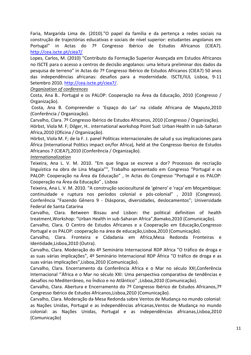Faria, Margarida Lima de. (2010)."O papel da família e da pertença a redes sociais na construção de trajectórias educativas e sociais de nível superior: estudantes angolanos em Portugal" in Actas do 7º Congresso Ibérico de Estudos Africanos (CIEA7). <http://cea.iscte.pt/ciea7/>

Lopes, Carlos, M. (2010) "Contributo da Formação Superior Avançada em Estudos Africanos no ISCTE para o acesso a centros de decisão angolanos: uma leitura preliminar dos dados da pesquisa de terreno" in Actas do 7º Congresso Ibérico de Estudos Africanos (CIEA7) 50 anos das independências africanas: desafios para a modernidade. ISCTE/IUL Lisboa, 9-11 Setembro 2010. [http://cea.iscte.pt/ciea7/.](http://cea.iscte.pt/ciea7/)

# *Organization of conferences*

Costa, Ana B.. Portugal e os PALOP: Cooperação na Área da Educação, 2010 (Congresso / Organização).

Costa, Ana B. Compreender o 'Espaço do Lar' na cidade Africana de Maputo,2010 (Conferência / Organização).

Carvalho, Clara. 7º Congresso Ibérico de Estudos Africanos, 2010 (Congresso / Organização).

Hörbst, Viola M. F; Dilger, H.. international workshop Point Sud: Urban Health in sub-Saharan Africa,2010 (Oficina / Organização).

Hörbst, Viola M. F; de la F. J. panel Políticas internacionales de salud y sus implicaciones para África (International Politics impact on/for Africa), held at the Congresso Iberico de Estudos Africanos 7 (CIEA7),2010 (Conferência / Organização).

# *Internationalization*

Teixeira, Ana L. V. M. 2010. "Em que língua se escreve a dor? Processos de recriação linguística na obra de Lina Magaia"", Trabalho apresentado em Congresso "Portugal e os PALOP: Cooperação na Área da Educação" , In Actas do Congresso "Portugal e os PALOP: Cooperação na Área da Educação" , Lisboa

Teixeira, Ana L. V. M. 2010. "A construção sociocultural de 'género' e 'raça' em Moçambique: continuidade e ruptura nos períodos colonial e pós-colonial" , 2010 (Congresso). Conferência "Fazendo Gênero 9 - Diásporas, diversidades, deslocamentos"; Universidade Federal de Santa Catarina

Carvalho, Clara. Between Bissau and Lisbon: the political definition of health treatment,Workshop: "Urban Health in sub-Saharan Africa",Bamako,2010 (Comunicação).

Carvalho, Clara. O Centro de Estudos Africanos e a Cooperação em Educação,Congresso Portugal e os PALOP: cooperação na área de educação,Lisboa,2010 (Comunicação).

Carvalho, Clara. Fronteira e Cidadania em Africa,Mesa Redonda Fronteiras e Identidade,Lisboa,2010 (Outra).

Carvalho, Clara. Moderação do 4º Seminário Internacional RDP Africa "O tráfico de droga e as suas várias implicações", 4º Seminário Internacional RDP África "O tráfico de droga e as suas várias implicações",Lisboa,2010 (Comunicação).

Carvalho, Clara. Encerramento da Conferência Africa e o Mar no século XXI,Conferência Internacional ''África e o Mar no século XXI: Uma perspectiva comparativa de tendências e desafios no Mediterrâneo, no Índico e no Atlântico'' ,Lisboa,2010 (Comunicação).

Carvalho, Clara. Abertura e Encerramento do 7º Congresso Ibérico de Estudos Africanos,7º Congresso Ibérico de Estudos Africanos,Lisboa,2010 (Comunicação).

Carvalho, Clara. Moderação da Mesa Redonda sobre Ventos de Mudança no mundo colonial: as Nações Unidas, Portugal e as independências africanas,Ventos de Mudança no mundo colonial: as Nações Unidas, Portugal e as independências africanas,Lisboa,2010 (Comunicação)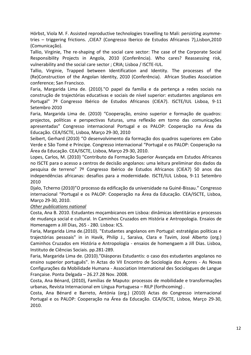Hörbst, Viola M. F. Assisted reproductive technologies travelling to Mali: persisting asymmetries – triggering frictions. ,CIEA7 (Congresso Iberico de Estudos Africanos 7),Lisbon,2010 (Comunicação).

Tallio, Virginie, The re-shaping of the social care sector: The case of the Corporate Social Responsibility Projects in Angola, 2010 (Conferência). Who cares? Reassessing risk, vulnerability and the social care sector ; CRIA; Lisboa / ISCTE-IUL.

Tallio, Virginie, Trapped between Identification and Identity. The processes of the (Re)Construction of the Angolan Identity, 2010 (Conferência). African Studies Association conference; San Francisco.

Faria, Margarida Lima de. (2010)."O papel da família e da pertença a redes sociais na construção de trajectórias educativas e sociais de nível superior: estudantes angolanos em Portugal" 7º Congresso Ibérico de Estudos Africanos (CIEA7). ISCTE/IUL Lisboa, 9-11 Setembro 2010

Faria, Margarida Lima de. (2010) "Cooperação, ensino superior e formação de quadros: projectos, políticas e perspectivas futuras, uma reflexão em torno das comunicações apresentadas" Congresso internacional Portugal e os PALOP: Cooperação na Área da Educação. CEA/ISCTE, Lisboa, Março 29-30, 2010

Seibert, Gerhard (2010) "O desenvolvimento da formação dos quadros superiores em Cabo Verde e São Tomé e Príncipe. Congresso internacional "Portugal e os PALOP: Cooperação na Área da Educação. CEA/ISCTE, Lisboa, Março 29-30, 2010.

Lopes, Carlos, M. (2010) "Contributo da Formação Superior Avançada em Estudos Africanos no ISCTE para o acesso a centros de decisão angolanos: uma leitura preliminar dos dados da pesquisa de terreno" 7º Congresso Ibérico de Estudos Africanos (CIEA7) 50 anos das independências africanas: desafios para a modernidade. ISCTE/IUL Lisboa, 9-11 Setembro 2010

Djalo, Tcherno (2010)"O processo da edificação da universidade na Guiné-Bissau." Congresso internacional "Portugal e os PALOP: Cooperação na Área da Educação. CEA/ISCTE, Lisboa, Março 29-30, 2010.

# *Other publications national*

Costa, Ana B. 2010. Estudantes moçambicanos em Lisboa: dinâmicas identitárias e processos de mudança social e cultural. In Caminhos Cruzados em História e Antropologia. Ensaios de Homenagem a Jill Dias, 265 - 280. Lisboa: ICS.

Faria, Margarida Lima de.(2010). "Estudantes angolanos em Portugal: estratégias políticas e trajectórias pessoais" in in Havik, Philip J., Saraiva, Clara e Tavim, José Alberto (org.) Caminhos Cruzados em História e Antropologia - ensaios de homengaem a Jill Dias. Lisboa, Instituto de Ciências Sociais. pp.281-289.

Faria, Margarida Lima de. (2010)."Diásporas Estudantis: o caso dos estudantes angolanos no ensino superior português". In Actas do VII Encontro de Sociologia dos Açores - As Novas Configurações da Mobilidade Humana - Association International des Sociologues de Langue Française. Ponta Delgada – 26.27.28 Nov. 2008.

Costa, Ana Bénard, (2010), Famílias de Maputo: processos de mobilidade e transformações urbanas, Revista Internacional em Língua Portuguesa – RILP (forthcoming) .

Costa, Ana Bénard e Barreto, Antónia (org.) (2010) Actas do Congresso internacional Portugal e os PALOP: Cooperação na Área da Educação. CEA/ISCTE, Lisboa, Março 29-30, 2010.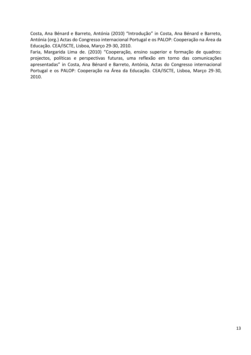Costa, Ana Bénard e Barreto, Antónia (2010) "Introdução" in Costa, Ana Bénard e Barreto, Antónia (org.) Actas do Congresso internacional Portugal e os PALOP: Cooperação na Área da Educação. CEA/ISCTE, Lisboa, Março 29-30, 2010.

Faria, Margarida Lima de. (2010) "Cooperação, ensino superior e formação de quadros: projectos, políticas e perspectivas futuras, uma reflexão em torno das comunicações apresentadas" in Costa, Ana Bénard e Barreto, Antónia, Actas do Congresso internacional Portugal e os PALOP: Cooperação na Área da Educação. CEA/ISCTE, Lisboa, Março 29-30, 2010.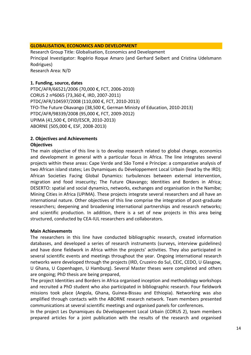# **GLOBALISATION, ECONOMICS AND DEVELOPMENT**

Research Group Title: Globalisation, Economics and Development Principal Investigator: Rogério Roque Amaro (and Gerhard Seibert and Cristina Udelsmann Rodrigues) Research Area: N/D

# **1. Funding, source, dates**

PTDC/AFR/66521/2006 (70,000 €, FCT, 2006-2010) CORUS 2 nº6065 (73,360 €, IRD, 2007-2011) PTDC/AFR/104597/2008 (110,000 €, FCT, 2010-2013) TFO-The Future Okavango (38,500 €, German Ministy of Education, 2010-2013) PTDC/AFR/98339/2008 (95,000 €, FCT, 2009-2012) UPIMA (41,500 €, DFID/ESCR, 2010-2013) ABORNE (505,000 €, ESF, 2008-2013)

# **2. Objectives and Achievements**

# **Objectives**

The main objective of this line is to develop research related to global change, economics and development in general with a particular focus in Africa. The line integrates several projects within these areas: Cape Verde and São Tomé e Príncipe: a comparative analysis of two African island states; Les Dynamiques du Développement Local Urbain (lead by the IRD); African Societies Facing Global Dynamics: turbulences between external intervention, migration and food insecurity; The Future Okavango; Identities and Borders in Africa; DESERTO: spatial and social dynamics, networks, exchanges and organisation in the Namibe; Mining Cities in Africa (UPIMA). These projects integrate several researchers and all have an international nature. Other objectives of this line comprise the integration of post-graduate researchers; deepening and broadening international partnerships and research networks; and scientific production. In addition, there is a set of new projects in this area being structured, conducted by CEA-IUL researchers and collaborators.

# **Main Achievements**

The researchers in this line have conducted bibliographic research, created information databases, and developed a series of research instruments (surveys, interview guidelines) and have done fieldwork in Africa within the projects' activities. They also participated in several scientific events and meetings throughout the year. Ongoing international research networks were developed through the projects (IRD, Cruzeiro do Sul, CEIC, CEDO, U Glasgow, U Ghana, U Copenhagen, U Hamburg). Several Master theses were completed and others are ongoing; PhD thesis are being prepared,

The project Identities and Borders in Africa organised inception and methodology workshops and recruited a PhD student who also participated in bibliographic research. Four fieldwork missions took place (Angola, Ghana, Guinea-Bissau and Ethiopia). Networking was also amplified through contacts with the ABORNE research network. Team members presented communications at several scientific meetings and organised panels for conferences.

In the project Les Dynamiques du Développement Local Urbain (CORUS 2), team members prepared articles for a joint publication with the results of the research and organised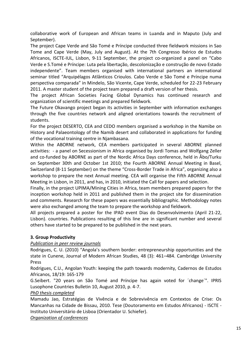collaborative work of European and African teams in Luanda and in Maputo (July and September).

The project Cape Verde and São Tomé e Príncipe conducted three fieldwork missions in Sao Tome and Cape Verde (May, July and August). At the 7th Congresso Ibérico de Estudos Africanos, ISCTE-IUL, Lisbon, 9-11 September, the project co-organized a panel on "Cabo Verde e S.Tomé e Príncipe: Luta pela libertação, descolonização e construção de novo Estado independente". Team members organised with international partners an international seminar titled "Arquipélagos Atlânticos Crioulos. Cabo Verde e São Tomé e Príncipe numa perspectiva comparada" in Mindelo, São Vicente, Cape Verde, scheduled for 22-23 February 2011. A master student of the project team prepared a draft version of her thesis.

The project African Societies Facing Global Dynamics has continued research and organization of scientific meetings and prepared fieldwork.

The Future Okavango project began its activities in September with information exchanges through the five countries network and aligned orientations towards the recruitment of students.

For the project DESERTO, CEA and CEDO members organised a workshop in the Namibe on History and Palaeontology of the Namib desert and collaborated in applications for funding of the vocational training centre in Njambasana.

Within the ABORNE network, CEA members participated in several ABORNE planned activities: - a panel on Secessionism in Africa organised by Jordi Tomas and Wolfgang Zeller and co-funded by ABORNE as part of the Nordic Africa Days conference, held in Åbo/Turku on September 30th and October 1st 2010; the Fourth ABORNE Annual Meeting in Basel, Switzerland (8-11 September) on the theme "Cross-Border Trade in Africa", organizing also a workshop to prepare the next Annual meeting. CEA will organise the Fifth ABORNE Annual Meeting in Lisbon, in 2011, and has, in 2010, initiated the Call for papers and selection.

Finally, in the project UPIMA/Mining Cities in Africa, team members prepared papers for the inception workshop held in 2011 and published them in the project site for dissemination and comments. Research for these papers was essentially bibliographic. Methodology notes were also exchanged among the team to prepare the workshop and fieldwork.

All projects prepared a poster for the IPAD event Dias do Desenvolvimento (April 21-22, Lisbon). countries. Publications resulting of this line are in significant number and several others have started to be prepared to be published in the next years.

# **3. Group Productivity**

# *Publication in peer review journals*

Rodrigues, C. U. (2010) "Angola's southern border: entrepreneurship opportunities and the state in Cunene, Journal of Modern African Studies, 48 (3): 461–484. Cambridge University Press

Rodrigues, C.U., Angolan Youth: keeping the path towards modernity, Cadernos de Estudos Africanos, 18/19: 165-179

G.Seibert. "20 years on São Tomé and Príncipe has again voted for ´change´". IPRIS Lusophone Countries Bulletin 10, August 2010, p. 4-7.

# *PhD thesis completed*

Mamadu Jao, Estratégias de Vivência e de Sobrevivência em Contextos de Crise: Os Mancanhas na Cidade de Bissau, 2010. Tese (Doutoramento em Estudos Africanos) - ISCTE - Instituto Universitário de Lisboa (Orientador U. Schiefer).

*Organization of conferences*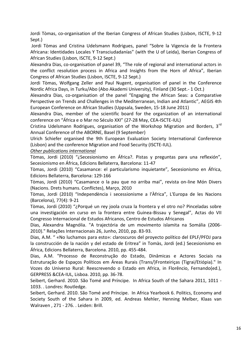Jordi Tòmas, co-organisation of the Iberian Congress of African Studies (Lisbon, ISCTE, 9-12 Sept.)

Jordi Tòmas and Cristina Udelsmann Rodrigues, panel "Sobre la Vigencia de la Frontera Africana: Identidades Locales Y Transciudadanías" (with the U of Leida), Iberian Congress of African Studies (Lisbon, ISCTE, 9-12 Sept.)

Alexandra Dias, co-organisation of panel 39, "The role of regional and international actors in the conflict resolution process in Africa and Insights from the Horn of Africa", Iberian Congress of African Studies (Lisbon, ISCTE, 9-12 Sept.)

Jordi Tòmas, Wolfgang Zeller and Paul Nugent, organisation of panel in the Conference Nordic Africa Days, in Turku/Abo (Abo Akademi University), Finland (30 Sept.- 1 Oct.)

Alexandra Dias, co-organisation of the panel "Engaging the African Seas: a Comparative Perspective on Trends and Challenges in the Mediterranean, Indian and Atlantic", AEGIS 4th European Conference on African Studies (Uppsala, Sweden, 15-18 June 2011)

Alexandra Dias, member of the scientific board for the organization of an international conference on "África e o Mar no Século XXI" (27-28 May, CEA-ISCTE-IUL)

Cristina Udelsmann Rodrigues, organisation of the Workshop Migration and Borders. 3<sup>rd</sup> Annual Conference of the ABORNE, Basel (9 September)

Ulrich Schiefer organised the 9th European Evaluation Society International Conference (Lisbon) and the conference Migration and Food Security (ISCTE-IUL).

# *Other publications international*

Tòmas, Jordi (2010) "¿Secesionismo en África?. Pistas y preguntas para una reflexión", Secesionismo en África, Edicions Bellaterra, Barcelona: 11-47

Tòmas, Jordi (2010) "Casamance: el particularismo inquietante", Secesionismo en África, Edicions Bellaterra, Barcelona: 129-166

Tòmas, Jordi (2010) "Casamance o la pau que no arriba mai", revista on-line Món Divers (Nacions. Drets humans. Conflictes), Março, 2010

Tòmas, Jordi (2010) "Independència i secessionisme a l'Àfrica", L'Europa de les Nacions (Barcelona), 77(4): 9-21

Tòmas, Jordi (2010) "¿Porqué un rey joola cruza la frontera y el otro no? Pinceladas sobre una investigación en curso en la frontera entre Guinea-Bissau y Senegal", Actas do VII Congresso Internacional de Estudos Africanos, Centro de Estudos Africanos

Dias, Alexandra Magnólia. "A trajectória de um movimento islamita na Somália (2006- 2010)." Relações Internacionais 26, Junho, 2010, pp. 83-93.

Dias, A.M. " «No luchamos para esto»: claroscuros del proyecto político del EPLF/PFDJ para la construcción de la nación y del estado de Eritrea" in Tomàs, Jordi (ed.) Secesionismo en África, Edicions Bellaterra, Barcelona. 2010, pp. 455-484.

Dias, A.M. "Processo de Reconstrução do Estado, Dinâmicas e Actores Sociais na Estruturação de Espaços Políticos em Áreas Rurais (Trans/)Fronteiriças (Tigrai/Etiópia)." In Vozes do Universo Rural: Reescrevendo o Estado em Africa, in Florêncio, Fernando(ed.), GERPRESS &CEA-IUL, Lisboa. 2010, pp. 36-78.

Seibert, Gerhard. 2010. São Tomé and Príncipe. In Africa South of the Sahara 2011, 1011 - 1033. . Londres: Routledge.

Seibert, Gerhard. 2010. São Tomé and Príncipe. In Africa Yearbook 6. Politics, Economy and Society South of the Sahara in 2009, ed. Andreas Mehler, Henning Melber, Klaas van Walraven , 271 - 276. . Leiden: Brill.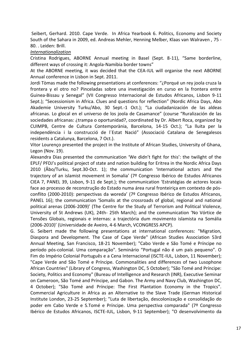Seibert, Gerhard. 2010. Cape Verde. In Africa Yearbook 6. Politics, Economy and Society South of the Sahara in 2009, ed. Andreas Mehler, Henning Melber, Klaas van Walraven , 75 - 80. . Leiden: Brill.

# *Internationalization*

Cristina Rodrigues, ABORNE Annual meeting in Basel (Sept. 8-11), "Same borderline, different ways of crossing it: Angola-Namibia border towns"

At the ABORNE meeting, it was decided that the CEA-IUL will organise the next ABORNE Annual conference in Lisbon in Sept. 2011.

Jordi Tòmas made the following presentations at conferences: "¿Porqué un rey joola cruza la frontera y el otro no? Pinceladas sobre una investigación en curso en la frontera entre Guinea-Bissau y Senegal" (VII Congresso Internacional de Estudos Africanos, Lisbon 9-11 Sept.); "Secessionism in Africa. Clues and questions for reflection" (Nordic Africa Days, Abo Akademie University Turku/Abo, 30 Sept.-1 Oct.); "La ciudadanización de las aldeas africanas. Lo glocal en el universo de los joola de Casamance" (course "Ruralización de las sociedades africanas: ¿trampa o oportunidad?, coordinated by Dr. Albert Roca, organized by CUIMPB, Centre de Cultura Contemporània, Barcelona, 14-15 Oct.); "La lluita per la independència i la construcció de l´Estat Nació" (Associació Catalana de Senegalesos residents a Catalunya, Barcelona, 7 Oct.).

Vitor Lourenço presented the project in the Institute of African Studies, University of Ghana, Legon (Nov. 19).

Alexandra Dias presented the communication 'We didn't fight for this': the twilight of the EPLF/ PFDJ's political project of state and nation building for Eritrea in the Nordic Africa Days 2010 (Åbo/Turku, Sept.30-Oct. 1); the communication 'International actors and the trajectory of an islamist movement in Somalia' (7º Congresso Ibérico de Estudos Africanos CIEA 7, PANEL 39, Lisbon, 9-11 de Sept.); the communication 'Estratégias de actores locais face ao processo de reconstrução do Estado numa área rural fronteiriça em contexto de pósconflito (2000-2010): perspectivas da woreda' (7º Congresso Ibérico de Estudos Africanos, PANEL 16); the communication 'Somalis at the crossroads of global, regional and national political arenas (2006-2009)' (The Centre for the Study of Terrorism and Political Violence, University of St Andrews (UK), 24th- 25th March); and the communication 'No Vórtice de Tensões Globais, regionais e internas: a trajectória dum movimento islamista na Somália (2006-2010)' (Universidade de Aveiro, 4-6 March, VCONGRESS APCP).

G. Seibert made the following presentations at international conferences: "Migration, Diaspora and Development. The Case of Cape Verde" (African Studies Association 53rd Annual Meeting, San Francisco, 18-21 November); "Cabo Verde e São Tomé e Príncipe no período pós-colonial. Uma comparação". Seminário "Portugal não é um país pequeno". O Fim do Império Colonial Português e a Cena Internacional (ISCTE-IUL, Lisbon, 11 November); "Cape Verde and São Tomé e Príncipe. Commonalities and differences of two Lusophone African Countries" (Library of Congress, Washington DC, 5 October); "São Tomé and Príncipe: Society, Politics and Economy" (Bureau of Intelligence and Research (INR), Executive Seminar on Cameroon, São Tomé and Príncipe, and Gabon. The Army and Navy Club, Washington DC, 4 October); "São Tomé and Príncipe: The First Plantation Economy in the Tropics". Commercial Agriculture in Africa as an Alternative to the Slave Trade (German Historical Institute London, 23-25 September); "Luta de libertação, descolonização e consolidação do poder em Cabo Verde e S.Tomé e Príncipe. Uma perspectiva comparada" (7º Congresso Ibérico de Estudos Africanos, ISCTE-IUL, Lisbon, 9-11 September); "O desenvolvimento da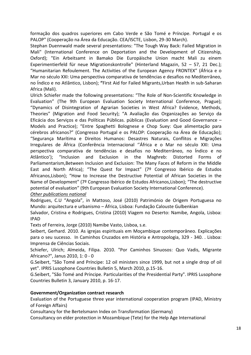formação dos quadros superiores em Cabo Verde e São Tomé e Príncipe. Portugal e os PALOP" (Cooperação na Área da Educação. CEA/ISCTE, Lisbon, 29-30 March).

Stephan Duennwald made several presentations: "The Tough Way Back: Failed Migration in Mali" (International Conference on Deportation and the Development of Citizenship, Oxford); "Ein Arbeitsamt in Bamako Die Europäische Union macht Mali zu einem Experimentierfeld für neue Migrationskontrolle" (Hinterland Magazin, 52 – 57, 21 Dec.); "Humanitarian Refoulement. The Activities of the European Agency FRONTEX" (África e o Mar no século XXI: Uma perspectiva comparativa de tendências e desafios no Mediterrâneo, no Índico e no Atlântico, Lisbon); **"**First Aid for Failed Migrants,Urban Health in sub-Saharan Africa (Mali).

Ulrich Schiefer made the following presentations: "The Role of Non-Scientific Knowledge in Evaluation" (The 9th European Evaluation Society International Conference, Prague); "Dynamics of Disintegration of Agrarian Societies in West Africa? Evidence, Methods, Theories" (Migration and Food Security); "A Avaliação das Organizações ao Serviço da Eficácia dos Serviços e das Políticas Públicas. públicas (Evaluation and Good Governance – Models and Practice); "Entre Spaghetti Bolognese e Chop Suey: Que alimentação para cérebros africanos?" (Congresso Portugal e os PALOP: Cooperação na Área de Educação); "Segurança Marítima e Direitos Humanos: Desastres Naturais, Conflitos e Migrações Irregulares de África (Conferência Internacional ''África e o Mar no século XXI: Uma perspectiva comparativa de tendências e desafios no Mediterrâneo, no Índico e no Atlântico'); "Inclusion and Exclusion in the Maghreb: Distorted Forms of Parliamentarism,Between Inclusion and Exclusion: The Many Faces of Reform in the Middle East and North Africa); "The Quest for Impact" (7º Congresso Ibérico de Estudos Africanos,Lisbon); "How to Increase the Destructive Potential of African Societies in the Name of Development" (7º Congresso Ibérico de Estudos Africanos,Lisbon); "The destructive potential of evaluation" (9th European Evaluation Society International Conference).

# *Other publications national*

Rodrigues, C.U "Angola", in Mattoso, José (2010) Património de Origem Portuguesa no Mundo: arquitectura e urbanismo – África, Lisboa: Fundação Calouste Gulbenkian

Salvador, Cristina e Rodrigues, Cristina (2010) Viagem no Deserto: Namibe, Angola, Lisboa: IPAD

Texts of Ferreira, Jorge (2010) Namibe Vasto, Lisboa, s.e.

Seibert, Gerhard. 2010. As igrejas espirituais em Moçambique contemporâneo. Explicações para o seu sucesso. In Caminhos Cruzados em História e Antropologia, 329 - 340. . Lisboa: Imprensa de Ciências Sociais.

Schiefer, Ulrich; Almeida, Filipa. 2010. "Por Caminhos Sinuosos: Quo Vadis, Migrante Africano?", Janus 2010, 1: 0 - 0

G.Seibert, "São Tomé and Príncipe: 12 oil ministers since 1999, but not a single drop of oil yet". IPRIS Lusophone Countries Bulletin 5, March 2010, p.15-16.

G.Seibert, "São Tomé and Príncipe. Particularities of the Presidential Party". IPRIS Lusophone Countries Bulletin 3, January 2010, p. 16-17.

# **Government/Organization contract research**

Evaluation of the Portuguese three year international cooperation program (IPAD, Ministry of Foreign Affairs)

Consultancy for the Bertelsmann Index on Transformation (Germany)

Consultancy on elder protection in Mozambique (Tete) for the Help Age International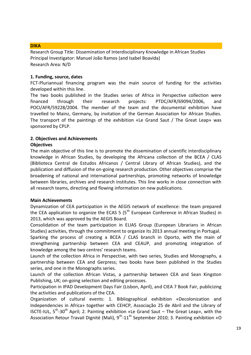### **DIKA**

Research Group Title: Dissemination of Interdisciplinary Knowledge in African Studies Principal Investigator: Manuel João Ramos (and Isabel Boavida) Research Area: N/D

# **1. Funding, source, dates**

FCT-Pluriannual financing program was the main source of funding for the activities developed within this line.

The two books published in the Studies series of Africa in Perspective collection were financed through their research projects: PTDC/AFR/69094/2006, and POCI/AFR/59228/2004. The member of the team and the documental exhibition have travelled to Mainz, Germany, by invitation of the German Association for African Studies. The transport of the paintings of the exhibition «Le Grand Saut / The Great Leap» was sponsored by CPLP.

# **2. Objectives and Achievements**

# **Objectives**

The main objective of this line is to promote the dissemination of scientific interdisciplinary knowledge in African Studies, by developing the Africana collection of the BCEA / CLAS (Biblioteca Central de Estudos Africanos / Central Library of African Studies), and the publication and diffusion of the on-going research production. Other objectives comprise the broadening of national and international partnerships, promoting networks of knowledge between libraries, archives and research institutes. This line works in close connection with all research teams, directing and flowing information on new publications.

# **Main Achievements**

Dynamization of CEA participation in the AEGIS network of excellence: the team prepared the CEA application to organize the ECAS 5 ( $5<sup>th</sup>$  European Conference in African Studies) in 2013, which was approved by the AEGIS Board.

Consolidation of the team participation in ELIAS Group (European Librarians in African Studies) activities, through the commitment to organize its 2013 annual meeting in Portugal.

Sparking the process of creating a BCEA / CLAS branch in Oporto, with the main of strengthening partnership between CEA and CEAUP, and promoting integration of knowledge among the two centres' research teams.

Launch of the collection Africa in Perspective, with two series, Studies and Monographs, a partnership between CEA and Gerpress; two books have been published in the Studies series, and one in the Monographs series.

Launch of the collection African Vistas, a partnership between CEA and Sean Kingston Publishing, UK; on-going selection and editing processes.

Participation in IPAD Development Days Fair (Lisbon, April), and CIEA 7 Book Fair, publicizing the activities and publications of the CEA.

Organization of cultural events: 1. Bibliographical exhibition «Decolonization and Independencies in Africa» together with CEHCP, Associação 25 de Abril and the Library of ISCTE-IUL,  $5^{th}$ -30<sup>th</sup> April; 2. Painting exhibition «Le Grand Saut – The Great Leap», with the Association Retour Travail Dignité (Mali), 9<sup>th</sup>-11<sup>th</sup> September 2010; 3. Painting exhibition «O